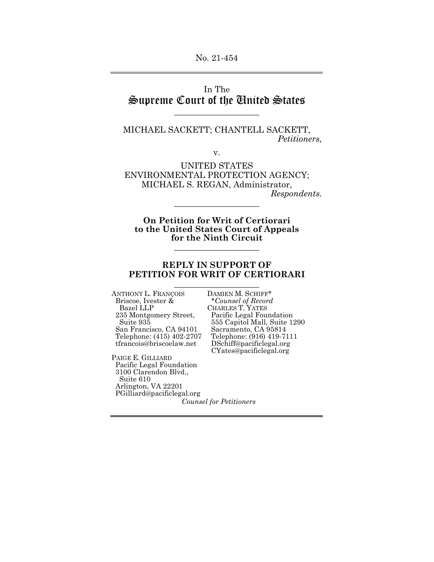## In The Supreme Court of the United States

\_\_\_\_\_\_\_\_\_\_\_\_\_\_\_\_\_\_\_\_

MICHAEL SACKETT; CHANTELL SACKETT, *Petitioners,* 

v.

UNITED STATES ENVIRONMENTAL PROTECTION AGENCY; MICHAEL S. REGAN, Administrator, *Respondents.* 

\_\_\_\_\_\_\_\_\_\_\_\_\_\_\_\_\_\_\_\_

**On Petition for Writ of Certiorari to the United States Court of Appeals for the Ninth Circuit**

\_\_\_\_\_\_\_\_\_\_\_\_\_\_\_\_\_\_\_\_

#### **REPLY IN SUPPORT OF PETITION FOR WRIT OF CERTIORARI**  \_\_\_\_\_\_\_\_\_\_\_\_\_\_\_\_\_\_\_\_

ANTHONY L. FRANÇOIS DAMIEN M. SCHIFF\*<br>Briscoe, Ivester & \* Counsel of Record Briscoe, Ivester & \**Counsel of Record*  Bazel LLP CHARLES T. YATES<br>235 Montgomery Street, Pacific Legal Fou: San Francisco, CA 94101<br>Telephone: (415) 402-2707

PAIGE E. GILLIARD Pacific Legal Foundation 3100 Clarendon Blvd., Suite 610 Arlington, VA 22201 PGilliard@pacificlegal.org

235 Montgomery Street, Pacific Legal Foundation<br>
555 Capitol Mall, Suite 1: 555 Capitol Mall, Suite 1290 San Francisco, CA 94101 Sacramento, CA 95814<br>Telephone: (415) 402-2707 Telephone: (916) 419-7111<br>tfrancois@briscoelaw.net DSchiff@pacificlegal.org DSchiff@pacificlegal.org CYates@pacificlegal.org

*Counsel for Petitioners*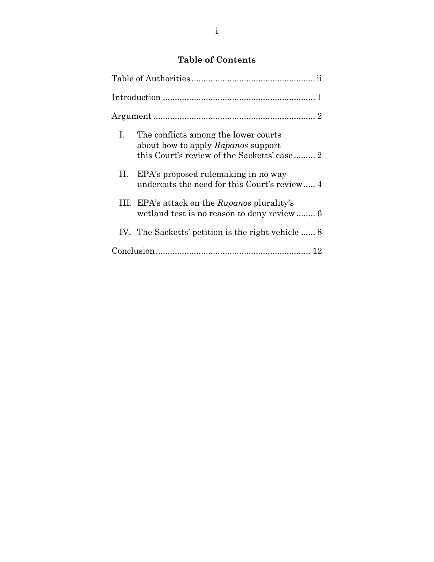## **Table of Contents**

|  | I. The conflicts among the lower courts<br>about how to apply Rapanos support           |  |  |  |
|--|-----------------------------------------------------------------------------------------|--|--|--|
|  | II. EPA's proposed rulemaking in no way<br>undercuts the need for this Court's review 4 |  |  |  |
|  | III. EPA's attack on the Rapanos plurality's                                            |  |  |  |
|  | IV. The Sacketts' petition is the right vehicle  8                                      |  |  |  |
|  |                                                                                         |  |  |  |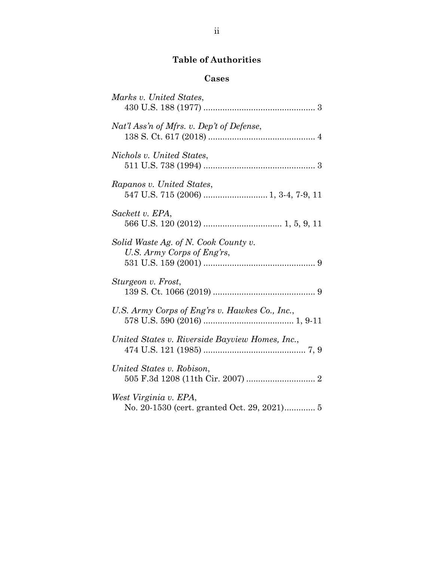## **Table of Authorities**

## **Cases**

| Marks v. United States,                                            |
|--------------------------------------------------------------------|
| Nat'l Ass'n of Mfrs. v. Dep't of Defense,                          |
| Nichols v. United States,                                          |
| Rapanos v. United States,                                          |
| Sackett v. EPA,                                                    |
| Solid Waste Ag. of N. Cook County v.<br>U.S. Army Corps of Eng'rs, |
| Sturgeon v. Frost,                                                 |
| U.S. Army Corps of Eng'rs v. Hawkes Co., Inc.,                     |
| United States v. Riverside Bayview Homes, Inc.,                    |
| United States v. Robison,                                          |
| West Virginia v. EPA,                                              |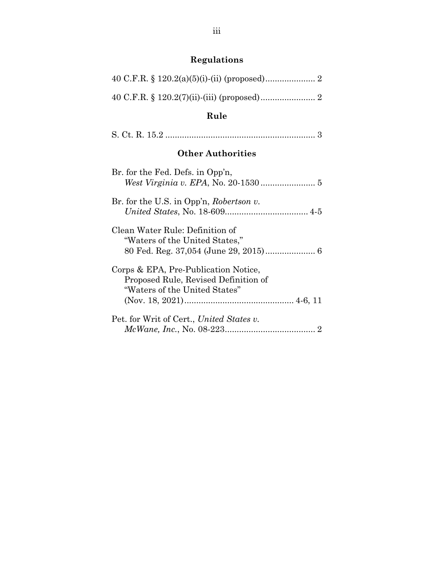# **Regulations**

# **Rule**

|--|--|

## **Other Authorities**

| Br. for the Fed. Defs. in Opp'n,                                                                              |
|---------------------------------------------------------------------------------------------------------------|
| Br. for the U.S. in Opp'n, Robertson v.                                                                       |
| Clean Water Rule: Definition of<br>"Waters of the United States,"                                             |
| Corps & EPA, Pre-Publication Notice,<br>Proposed Rule, Revised Definition of<br>"Waters of the United States" |
| Pet. for Writ of Cert., United States v.                                                                      |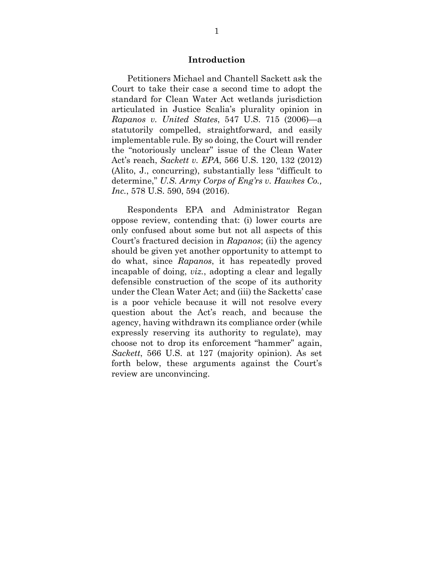#### **Introduction**

Petitioners Michael and Chantell Sackett ask the Court to take their case a second time to adopt the standard for Clean Water Act wetlands jurisdiction articulated in Justice Scalia's plurality opinion in *Rapanos v. United States*, 547 U.S. 715 (2006)—a statutorily compelled, straightforward, and easily implementable rule. By so doing, the Court will render the "notoriously unclear" issue of the Clean Water Act's reach, *Sackett v. EPA*, 566 U.S. 120, 132 (2012) (Alito, J., concurring), substantially less "difficult to determine," *U.S. Army Corps of Eng'rs v. Hawkes Co., Inc.*, 578 U.S. 590, 594 (2016).

Respondents EPA and Administrator Regan oppose review, contending that: (i) lower courts are only confused about some but not all aspects of this Court's fractured decision in *Rapanos*; (ii) the agency should be given yet another opportunity to attempt to do what, since *Rapanos*, it has repeatedly proved incapable of doing, *viz.*, adopting a clear and legally defensible construction of the scope of its authority under the Clean Water Act; and (iii) the Sacketts' case is a poor vehicle because it will not resolve every question about the Act's reach, and because the agency, having withdrawn its compliance order (while expressly reserving its authority to regulate), may choose not to drop its enforcement "hammer" again, *Sackett*, 566 U.S. at 127 (majority opinion). As set forth below, these arguments against the Court's review are unconvincing.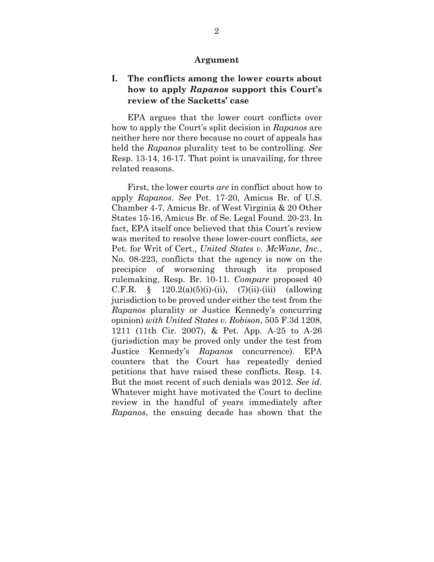#### **Argument**

### **I. The conflicts among the lower courts about how to apply** *Rapanos* **support this Court's review of the Sacketts' case**

EPA argues that the lower court conflicts over how to apply the Court's split decision in *Rapanos* are neither here nor there because no court of appeals has held the *Rapanos* plurality test to be controlling. *See*  Resp. 13-14, 16-17. That point is unavailing, for three related reasons.

First, the lower courts *are* in conflict about how to apply *Rapanos*. *See* Pet. 17-20, Amicus Br. of U.S. Chamber 4-7, Amicus Br. of West Virginia & 20 Other States 15-16, Amicus Br. of Se. Legal Found. 20-23. In fact, EPA itself once believed that this Court's review was merited to resolve these lower-court conflicts, *see*  Pet. for Writ of Cert., *United States v. McWane, Inc.*, No. 08-223, conflicts that the agency is now on the precipice of worsening through its proposed rulemaking, Resp. Br. 10-11. *Compare* proposed 40 C.F.R.  $\S$  120.2(a)(5)(i)-(ii), (7)(ii)-(iii) (allowing jurisdiction to be proved under either the test from the *Rapanos* plurality or Justice Kennedy's concurring opinion) *with United States v. Robison*, 505 F.3d 1208, 1211 (11th Cir. 2007), & Pet. App. A-25 to A-26 (jurisdiction may be proved only under the test from Justice Kennedy's *Rapanos* concurrence). EPA counters that the Court has repeatedly denied petitions that have raised these conflicts. Resp. 14. But the most recent of such denials was 2012. *See id.* Whatever might have motivated the Court to decline review in the handful of years immediately after *Rapanos*, the ensuing decade has shown that the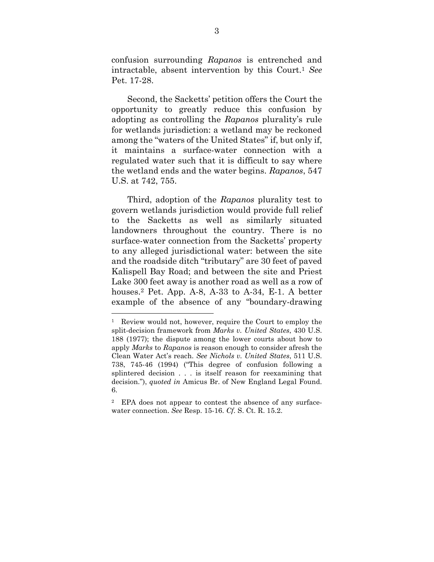confusion surrounding *Rapanos* is entrenched and intractable, absent intervention by this Court.<sup>1</sup> *See* Pet. 17-28.

Second, the Sacketts' petition offers the Court the opportunity to greatly reduce this confusion by adopting as controlling the *Rapanos* plurality's rule for wetlands jurisdiction: a wetland may be reckoned among the "waters of the United States" if, but only if, it maintains a surface-water connection with a regulated water such that it is difficult to say where the wetland ends and the water begins. *Rapanos*, 547 U.S. at 742, 755.

Third, adoption of the *Rapanos* plurality test to govern wetlands jurisdiction would provide full relief to the Sacketts as well as similarly situated landowners throughout the country. There is no surface-water connection from the Sacketts' property to any alleged jurisdictional water: between the site and the roadside ditch "tributary" are 30 feet of paved Kalispell Bay Road; and between the site and Priest Lake 300 feet away is another road as well as a row of houses.2 Pet. App. A-8, A-33 to A-34, E-1. A better example of the absence of any "boundary-drawing

<sup>&</sup>lt;sup>1</sup> Review would not, however, require the Court to employ the split-decision framework from *Marks v. United States*, 430 U.S. 188 (1977); the dispute among the lower courts about how to apply *Marks* to *Rapanos* is reason enough to consider afresh the Clean Water Act's reach. *See Nichols v. United States*, 511 U.S. 738, 745-46 (1994) ("This degree of confusion following a splintered decision . . . is itself reason for reexamining that decision."), *quoted in* Amicus Br. of New England Legal Found. 6.

<sup>2</sup> EPA does not appear to contest the absence of any surfacewater connection. *See* Resp. 15-16. *Cf.* S. Ct. R. 15.2.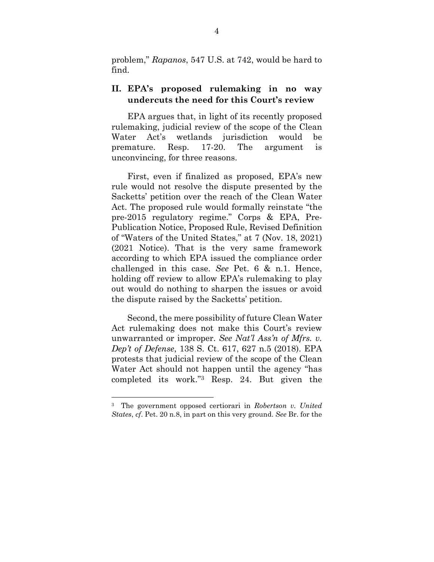problem," *Rapanos*, 547 U.S. at 742, would be hard to find.

#### **II. EPA's proposed rulemaking in no way undercuts the need for this Court's review**

EPA argues that, in light of its recently proposed rulemaking, judicial review of the scope of the Clean Water Act's wetlands jurisdiction would be premature. Resp. 17-20. The argument is unconvincing, for three reasons.

First, even if finalized as proposed, EPA's new rule would not resolve the dispute presented by the Sacketts' petition over the reach of the Clean Water Act. The proposed rule would formally reinstate "the pre-2015 regulatory regime." Corps & EPA, Pre-Publication Notice, Proposed Rule, Revised Definition of "Waters of the United States," at 7 (Nov. 18, 2021) (2021 Notice). That is the very same framework according to which EPA issued the compliance order challenged in this case. *See* Pet. 6 & n.1. Hence, holding off review to allow EPA's rulemaking to play out would do nothing to sharpen the issues or avoid the dispute raised by the Sacketts' petition.

Second, the mere possibility of future Clean Water Act rulemaking does not make this Court's review unwarranted or improper. *See Nat'l Ass'n of Mfrs. v. Dep't of Defense*, 138 S. Ct. 617, 627 n.5 (2018). EPA protests that judicial review of the scope of the Clean Water Act should not happen until the agency "has completed its work."3 Resp. 24. But given the

<sup>3</sup> The government opposed certiorari in *Robertson v. United States*, *cf*. Pet. 20 n.8, in part on this very ground. *See* Br. for the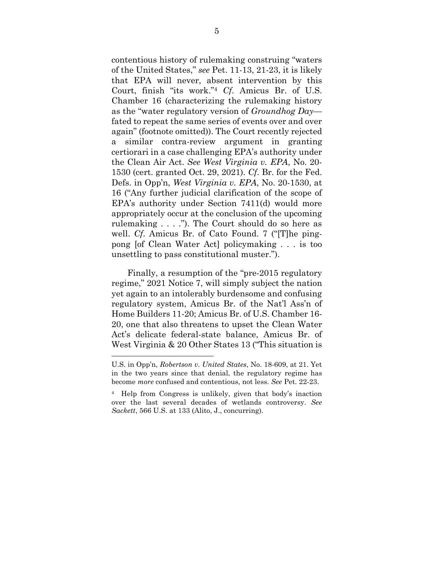contentious history of rulemaking construing "waters of the United States," *see* Pet. 11-13, 21-23, it is likely that EPA will never, absent intervention by this Court, finish "its work."<sup>4</sup> *Cf*. Amicus Br. of U.S. Chamber 16 (characterizing the rulemaking history as the "water regulatory version of *Groundhog Day* fated to repeat the same series of events over and over again" (footnote omitted)). The Court recently rejected a similar contra-review argument in granting certiorari in a case challenging EPA's authority under the Clean Air Act. *See West Virginia v. EPA*, No. 20- 1530 (cert. granted Oct. 29, 2021). *Cf*. Br. for the Fed. Defs. in Opp'n, *West Virginia v. EPA*, No. 20-1530, at 16 ("Any further judicial clarification of the scope of EPA's authority under Section 7411(d) would more appropriately occur at the conclusion of the upcoming rulemaking  $\dots$  ."). The Court should do so here as well. *Cf*. Amicus Br. of Cato Found. 7 ("[T]he pingpong [of Clean Water Act] policymaking . . . is too unsettling to pass constitutional muster.").

Finally, a resumption of the "pre-2015 regulatory regime," 2021 Notice 7, will simply subject the nation yet again to an intolerably burdensome and confusing regulatory system, Amicus Br. of the Nat'l Ass'n of Home Builders 11-20; Amicus Br. of U.S. Chamber 16- 20, one that also threatens to upset the Clean Water Act's delicate federal-state balance, Amicus Br. of West Virginia & 20 Other States 13 ("This situation is

U.S. in Opp'n, *Robertson v. United States*, No. 18-609, at 21. Yet in the two years since that denial, the regulatory regime has become *more* confused and contentious, not less. *See* Pet. 22-23.

<sup>4</sup> Help from Congress is unlikely, given that body's inaction over the last several decades of wetlands controversy. *See Sackett*, 566 U.S. at 133 (Alito, J., concurring).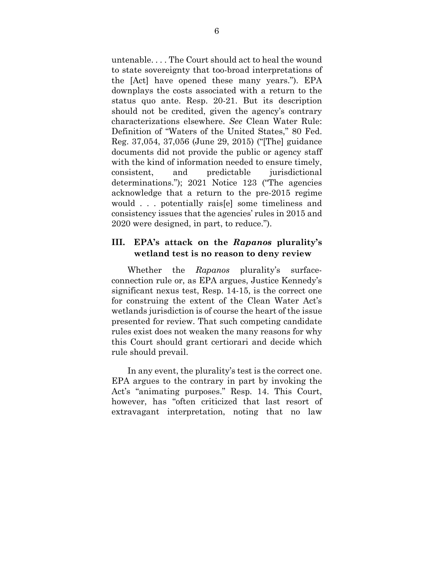untenable. . . . The Court should act to heal the wound to state sovereignty that too-broad interpretations of the [Act] have opened these many years."). EPA downplays the costs associated with a return to the status quo ante. Resp. 20-21. But its description should not be credited, given the agency's contrary characterizations elsewhere. *See* Clean Water Rule: Definition of "Waters of the United States," 80 Fed. Reg. 37,054, 37,056 (June 29, 2015) ("[The] guidance documents did not provide the public or agency staff with the kind of information needed to ensure timely, consistent, and predictable jurisdictional determinations."); 2021 Notice 123 ("The agencies acknowledge that a return to the pre-2015 regime would . . . potentially rais[e] some timeliness and consistency issues that the agencies' rules in 2015 and 2020 were designed, in part, to reduce.").

### **III. EPA's attack on the** *Rapanos* **plurality's wetland test is no reason to deny review**

Whether the *Rapanos* plurality's surfaceconnection rule or, as EPA argues, Justice Kennedy's significant nexus test, Resp. 14-15, is the correct one for construing the extent of the Clean Water Act's wetlands jurisdiction is of course the heart of the issue presented for review. That such competing candidate rules exist does not weaken the many reasons for why this Court should grant certiorari and decide which rule should prevail.

In any event, the plurality's test is the correct one. EPA argues to the contrary in part by invoking the Act's "animating purposes." Resp. 14. This Court, however, has "often criticized that last resort of extravagant interpretation, noting that no law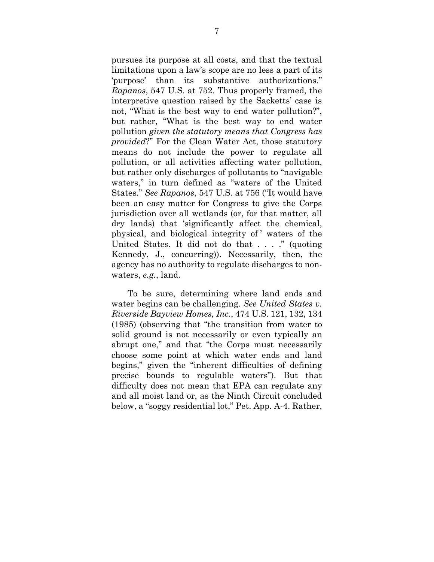pursues its purpose at all costs, and that the textual limitations upon a law's scope are no less a part of its 'purpose' than its substantive authorizations." *Rapanos*, 547 U.S. at 752. Thus properly framed, the interpretive question raised by the Sacketts' case is not, "What is the best way to end water pollution?", but rather, "What is the best way to end water pollution *given the statutory means that Congress has provided*?" For the Clean Water Act, those statutory means do not include the power to regulate all pollution, or all activities affecting water pollution, but rather only discharges of pollutants to "navigable waters," in turn defined as "waters of the United States." *See Rapanos*, 547 U.S. at 756 ("It would have been an easy matter for Congress to give the Corps jurisdiction over all wetlands (or, for that matter, all dry lands) that 'significantly affect the chemical, physical, and biological integrity of ' waters of the United States. It did not do that . . . ." (quoting Kennedy, J., concurring)). Necessarily, then, the agency has no authority to regulate discharges to nonwaters, *e.g.*, land.

To be sure, determining where land ends and water begins can be challenging. *See United States v. Riverside Bayview Homes, Inc.*, 474 U.S. 121, 132, 134 (1985) (observing that "the transition from water to solid ground is not necessarily or even typically an abrupt one," and that "the Corps must necessarily choose some point at which water ends and land begins," given the "inherent difficulties of defining precise bounds to regulable waters"). But that difficulty does not mean that EPA can regulate any and all moist land or, as the Ninth Circuit concluded below, a "soggy residential lot," Pet. App. A-4. Rather,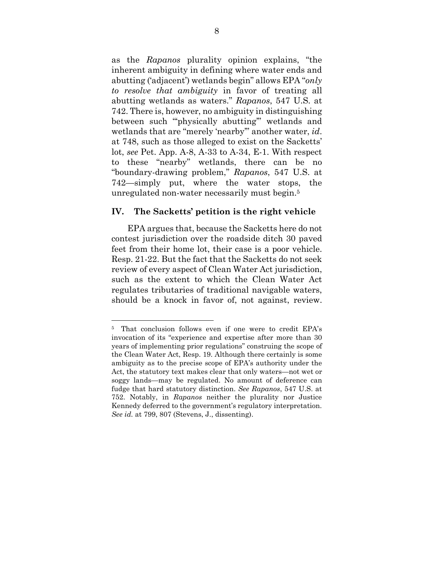as the *Rapanos* plurality opinion explains, "the inherent ambiguity in defining where water ends and abutting ('adjacent') wetlands begin" allows EPA "*only to resolve that ambiguity* in favor of treating all abutting wetlands as waters." *Rapanos*, 547 U.S. at 742. There is, however, no ambiguity in distinguishing between such "physically abutting" wetlands and wetlands that are "merely 'nearby'" another water, *id*. at 748, such as those alleged to exist on the Sacketts' lot, *see* Pet. App. A-8, A-33 to A-34, E-1. With respect to these "nearby" wetlands, there can be no "boundary-drawing problem," *Rapanos*, 547 U.S. at 742—simply put, where the water stops, the unregulated non-water necessarily must begin.<sup>5</sup>

#### **IV. The Sacketts' petition is the right vehicle**

EPA argues that, because the Sacketts here do not contest jurisdiction over the roadside ditch 30 paved feet from their home lot, their case is a poor vehicle. Resp. 21-22. But the fact that the Sacketts do not seek review of every aspect of Clean Water Act jurisdiction, such as the extent to which the Clean Water Act regulates tributaries of traditional navigable waters, should be a knock in favor of, not against, review.

<sup>5</sup> That conclusion follows even if one were to credit EPA's invocation of its "experience and expertise after more than 30 years of implementing prior regulations" construing the scope of the Clean Water Act, Resp. 19. Although there certainly is some ambiguity as to the precise scope of EPA's authority under the Act, the statutory text makes clear that only waters—not wet or soggy lands—may be regulated. No amount of deference can fudge that hard statutory distinction. *See Rapanos*, 547 U.S. at 752. Notably, in *Rapanos* neither the plurality nor Justice Kennedy deferred to the government's regulatory interpretation. *See id.* at 799, 807 (Stevens, J., dissenting).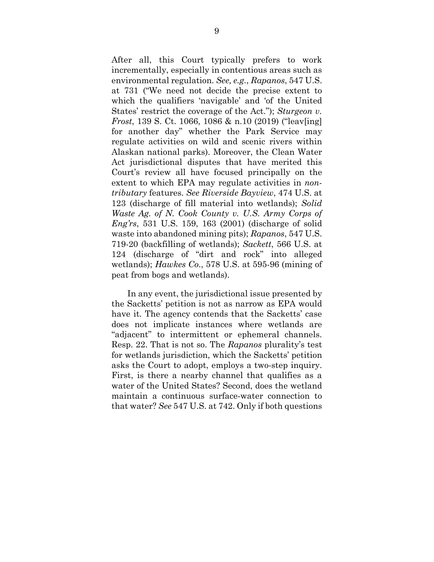After all, this Court typically prefers to work incrementally, especially in contentious areas such as environmental regulation. *See, e.g.*, *Rapanos*, 547 U.S. at 731 ("We need not decide the precise extent to which the qualifiers 'navigable' and 'of the United States' restrict the coverage of the Act."); *Sturgeon v. Frost*, 139 S. Ct. 1066, 1086 & n.10 (2019) ("leav[ing] for another day" whether the Park Service may regulate activities on wild and scenic rivers within Alaskan national parks). Moreover, the Clean Water Act jurisdictional disputes that have merited this Court's review all have focused principally on the extent to which EPA may regulate activities in *nontributary* features. *See Riverside Bayview*, 474 U.S. at 123 (discharge of fill material into wetlands); *Solid Waste Ag. of N. Cook County v. U.S. Army Corps of Eng'rs*, 531 U.S. 159, 163 (2001) (discharge of solid waste into abandoned mining pits); *Rapanos*, 547 U.S. 719-20 (backfilling of wetlands); *Sackett*, 566 U.S. at 124 (discharge of "dirt and rock" into alleged wetlands); *Hawkes Co*., 578 U.S. at 595-96 (mining of peat from bogs and wetlands).

In any event, the jurisdictional issue presented by the Sacketts' petition is not as narrow as EPA would have it. The agency contends that the Sacketts' case does not implicate instances where wetlands are "adjacent" to intermittent or ephemeral channels. Resp. 22. That is not so. The *Rapanos* plurality's test for wetlands jurisdiction, which the Sacketts' petition asks the Court to adopt, employs a two-step inquiry. First, is there a nearby channel that qualifies as a water of the United States? Second, does the wetland maintain a continuous surface-water connection to that water? *See* 547 U.S. at 742. Only if both questions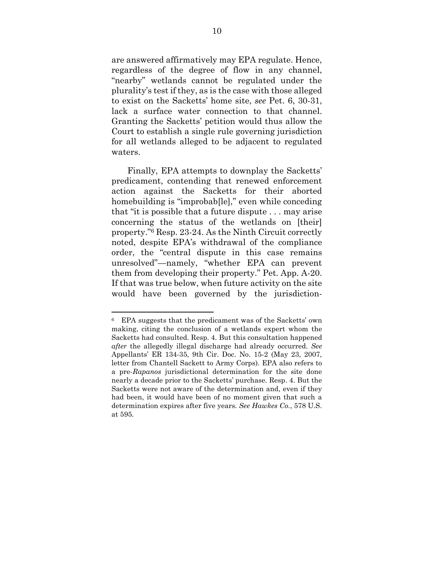are answered affirmatively may EPA regulate. Hence, regardless of the degree of flow in any channel, "nearby" wetlands cannot be regulated under the plurality's test if they, as is the case with those alleged to exist on the Sacketts' home site, *see* Pet. 6, 30-31, lack a surface water connection to that channel. Granting the Sacketts' petition would thus allow the Court to establish a single rule governing jurisdiction for all wetlands alleged to be adjacent to regulated waters.

Finally, EPA attempts to downplay the Sacketts' predicament, contending that renewed enforcement action against the Sacketts for their aborted homebuilding is "improbab[le]," even while conceding that "it is possible that a future dispute . . . may arise concerning the status of the wetlands on [their] property."6 Resp. 23-24. As the Ninth Circuit correctly noted, despite EPA's withdrawal of the compliance order, the "central dispute in this case remains unresolved"—namely, "whether EPA can prevent them from developing their property." Pet. App. A-20. If that was true below, when future activity on the site would have been governed by the jurisdiction-

<sup>6</sup> EPA suggests that the predicament was of the Sacketts' own making, citing the conclusion of a wetlands expert whom the Sacketts had consulted. Resp. 4. But this consultation happened *after* the allegedly illegal discharge had already occurred. *See*  Appellants' ER 134-35, 9th Cir. Doc. No. 15-2 (May 23, 2007, letter from Chantell Sackett to Army Corps). EPA also refers to a pre-*Rapanos* jurisdictional determination for the site done nearly a decade prior to the Sacketts' purchase. Resp. 4. But the Sacketts were not aware of the determination and, even if they had been, it would have been of no moment given that such a determination expires after five years. *See Hawkes Co.*, 578 U.S. at 595.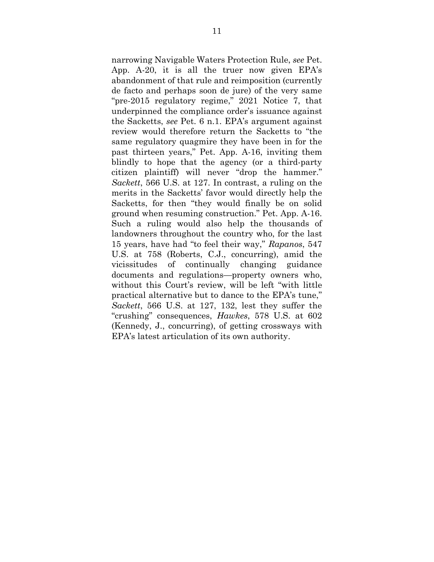narrowing Navigable Waters Protection Rule, *see* Pet. App. A-20, it is all the truer now given EPA's abandonment of that rule and reimposition (currently de facto and perhaps soon de jure) of the very same "pre-2015 regulatory regime," 2021 Notice 7, that underpinned the compliance order's issuance against the Sacketts, *see* Pet. 6 n.1. EPA's argument against review would therefore return the Sacketts to "the same regulatory quagmire they have been in for the past thirteen years," Pet. App. A-16, inviting them blindly to hope that the agency (or a third-party citizen plaintiff) will never "drop the hammer." *Sackett*, 566 U.S. at 127. In contrast, a ruling on the merits in the Sacketts' favor would directly help the Sacketts, for then "they would finally be on solid ground when resuming construction." Pet. App. A-16. Such a ruling would also help the thousands of landowners throughout the country who, for the last 15 years, have had "to feel their way," *Rapanos*, 547 U.S. at 758 (Roberts, C.J., concurring), amid the vicissitudes of continually changing guidance documents and regulations—property owners who, without this Court's review, will be left "with little practical alternative but to dance to the EPA's tune," *Sackett*, 566 U.S. at 127, 132, lest they suffer the "crushing" consequences, *Hawkes*, 578 U.S. at 602 (Kennedy, J., concurring), of getting crossways with EPA's latest articulation of its own authority.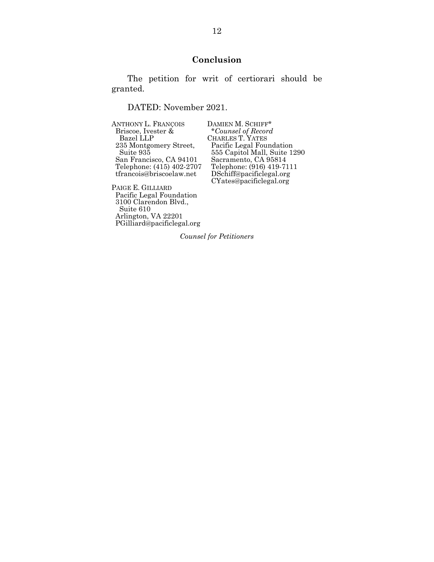### **Conclusion**

The petition for writ of certiorari should be granted.

DATED: November 2021.

| <b>ANTHONY L. FRANÇOIS</b>             | DAMIEN M. SCHIFF*           |
|----------------------------------------|-----------------------------|
| Briscoe, Ivester &                     | *Counsel of Record          |
| Bazel LLP                              | <b>CHARLES T. YATES</b>     |
| 235 Montgomery Street,                 | Pacific Legal Foundation    |
| Suite 935                              | 555 Capitol Mall, Suite 129 |
| San Francisco, CA 94101                | Sacramento, CA 95814        |
| Telephone: (415) 402-2707              | Telephone: (916) 419-7111   |
| tfrancois@briscoelaw.net               | DSchiff@pacificlegal.org    |
|                                        | CYates@pacificlegal.org     |
| $\mathbf{B}$ $\mathbf{B}$ $\mathbf{A}$ |                             |

PAIGE E. GILLIARD Pacific Legal Foundation 3100 Clarendon Blvd., Suite 610 Arlington, VA 22201 PGilliard@pacificlegal.org

DAMIEN M. SCHIFF\* Suite 935 555 Capitol Mall, Suite 1290 CYates@pacificlegal.org

*Counsel for Petitioners*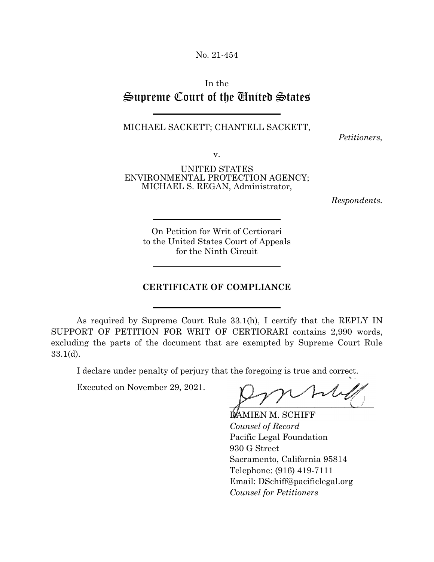No. 21-454

## In the Supreme Court of the United States

 $\overline{a}$ 

 $\overline{a}$ 

l

 $\overline{a}$ 

#### MICHAEL SACKETT; CHANTELL SACKETT,

*Petitioners,*

v.

UNITED STATES ENVIRONMENTAL PROTECTION AGENCY; MICHAEL S. REGAN, Administrator,

*Respondents.*

On Petition for Writ of Certiorari to the United States Court of Appeals for the Ninth Circuit

#### **CERTIFICATE OF COMPLIANCE**

As required by Supreme Court Rule 33.1(h), I certify that the REPLY IN SUPPORT OF PETITION FOR WRIT OF CERTIORARI contains 2,990 words, excluding the parts of the document that are exempted by Supreme Court Rule 33.1(d).

I declare under penalty of perjury that the foregoing is true and correct.

Executed on November 29, 2021.

 $\overline{a}$ 

 $\overline{X}$  , and the set of  $\overline{X}$ 

**DAMIEN M. SCHIFF** *Counsel of Record* Pacific Legal Foundation 930 G Street Sacramento, California 95814 Telephone: (916) 419-7111 Email: DSchiff@pacificlegal.org  *Counsel for Petitioners*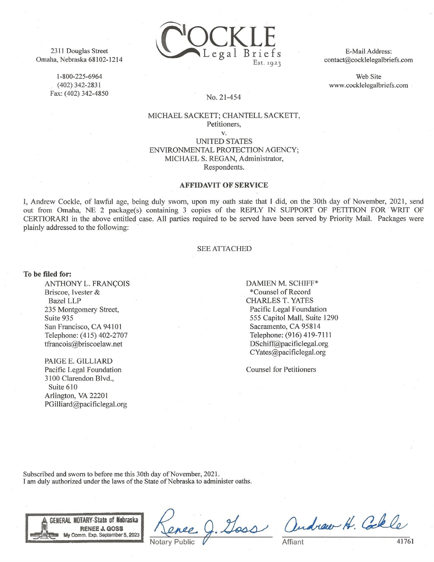2311 Douglas Street Omaha, Nebraska 68102-1214

> 1-800-225-6964  $(402)$  342-2831 Fax: (402) 342-4850



E-Mail Address: contact@cocklelegalbriefs.com

Web Site www.cocklelegalbriefs.com

#### No. 21-454

#### MICHAEL SACKETT; CHANTELL SACKETT, Petitioners.

V. **UNITED STATES** ENVIRONMENTAL PROTECTION AGENCY: MICHAEL S. REGAN, Administrator, Respondents.

#### **AFFIDAVIT OF SERVICE**

I, Andrew Cockle, of lawful age, being duly sworn, upon my oath state that I did, on the 30th day of November, 2021, send out from Omaha, NE 2 package(s) containing 3 copies of the REPLY IN SUPPORT OF PETITION FOR WRIT OF CERTIORARI in the above entitled case. All parties required to be served have been served by Priority Mail. Packages were plainly addressed to the following:

#### **SEE ATTACHED**

To be filed for:

ANTHONY L. FRANÇOIS Briscoe, Ivester & **Bazel LLP** 235 Montgomery Street, Suite 935 San Francisco, CA 94101 Telephone: (415) 402-2707 tfrancois@briscoelaw.net

PAIGE E. GILLIARD Pacific Legal Foundation 3100 Clarendon Blvd., Suite 610 Arlington, VA 22201 PGilliard@pacificlegal.org DAMIEN M. SCHIFF\* \*Counsel of Record **CHARLES T. YATES** Pacific Legal Foundation 555 Capitol Mall, Suite 1290 Sacramento, CA 95814 Telephone: (916) 419-7111 DSchiff@pacificlegal.org CYates@pacificlegal.org

**Counsel for Petitioners** 

Subscribed and sworn to before me this 30th day of November, 2021. I am duly authorized under the laws of the State of Nebraska to administer oaths.



Mass

andrew H. Collo.

Affiant

41761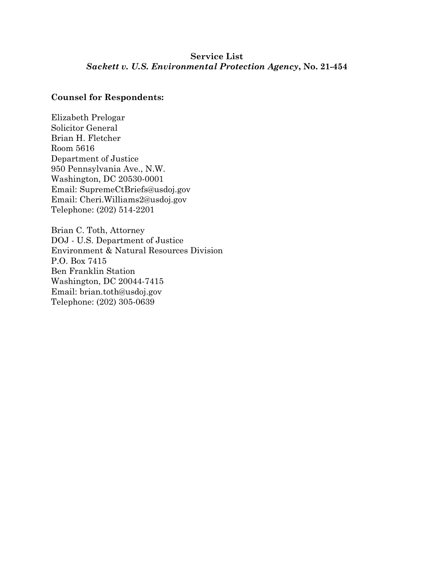### **Service List** *Sackett v. U.S. Environmental Protection Agency***, No. 21-454**

### **Counsel for Respondents:**

Elizabeth Prelogar Solicitor General Brian H. Fletcher Room 5616 Department of Justice 950 Pennsylvania Ave., N.W. Washington, DC 20530-0001 Email: SupremeCtBriefs@usdoj.gov Email: Cheri.Williams2@usdoj.gov Telephone: (202) 514-2201

Brian C. Toth, Attorney DOJ - U.S. Department of Justice Environment & Natural Resources Division P.O. Box 7415 Ben Franklin Station Washington, DC 20044-7415 Email: brian.toth@usdoj.gov Telephone: (202) 305-0639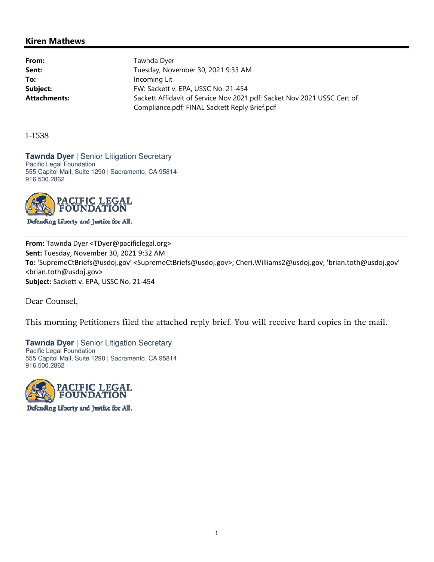#### Kiren Mathews

From: Tawnda Dyer Sent: Sent: Tuesday, November 30, 2021 9:33 AM To: Incoming Lit Subject: FW: Sackett v. EPA, USSC No. 21-454 Attachments: Sackett Affidavit of Service Nov 2021.pdf; Sacket Nov 2021 USSC Cert of Compliance.pdf; FINAL Sackett Reply Brief.pdf

1-1538

**Tawnda Dyer | Senior Litigation Secretary** Pacific Legal Foundation 555 Capitol Mall, Suite 1290 | Sacramento, CA 95814 916.500.2862



Defending Liberty and Justice for All.

From: Tawnda Dyer <TDyer@pacificlegal.org> Sent: Tuesday, November 30, 2021 9:32 AM To: 'SupremeCtBriefs@usdoj.gov' <SupremeCtBriefs@usdoj.gov>; Cheri.Williams2@usdoj.gov; 'brian.toth@usdoj.gov' <brian.toth@usdoj.gov> Subject: Sackett v. EPA, USSC No. 21-454

Dear Counsel,

This morning Petitioners filed the attached reply brief. You will receive hard copies in the mail.

**Tawnda Dyer** | Senior Litigation Secretary Pacific Legal Foundation 555 Capitol Mall, Suite 1290 | Sacramento, CA 95814 916.500.2862



Defending Liberty and Justice for All.